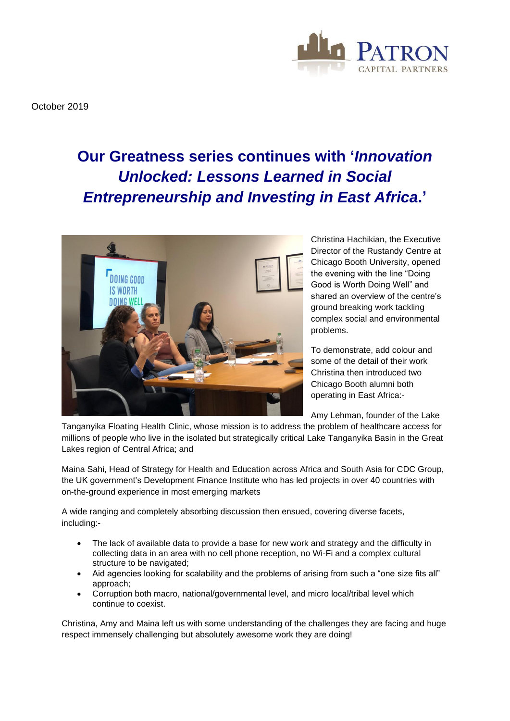

October 2019

## **Our Greatness series continues with '***Innovation Unlocked: Lessons Learned in Social Entrepreneurship and Investing in East Africa***.'**



Christina Hachikian, the Executive Director of the Rustandy Centre at Chicago Booth University, opened the evening with the line "Doing Good is Worth Doing Well" and shared an overview of the centre's ground breaking work tackling complex social and environmental problems.

To demonstrate, add colour and some of the detail of their work Christina then introduced two Chicago Booth alumni both operating in East Africa:-

Amy Lehman, founder of the Lake

Tanganyika Floating Health Clinic, whose mission is to address the problem of healthcare access for millions of people who live in the isolated but strategically critical Lake Tanganyika Basin in the Great Lakes region of Central Africa; and

Maina Sahi, Head of Strategy for Health and Education across Africa and South Asia for CDC Group, the UK government's Development Finance Institute who has led projects in over 40 countries with on-the-ground experience in most emerging markets

A wide ranging and completely absorbing discussion then ensued, covering diverse facets, including:-

- The lack of available data to provide a base for new work and strategy and the difficulty in collecting data in an area with no cell phone reception, no Wi-Fi and a complex cultural structure to be navigated;
- Aid agencies looking for scalability and the problems of arising from such a "one size fits all" approach;
- Corruption both macro, national/governmental level, and micro local/tribal level which continue to coexist.

Christina, Amy and Maina left us with some understanding of the challenges they are facing and huge respect immensely challenging but absolutely awesome work they are doing!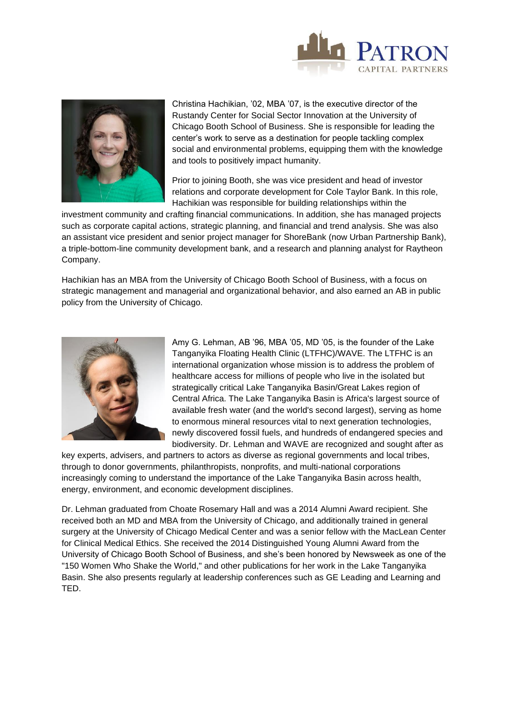



Christina Hachikian, '02, MBA '07, is the executive director of the Rustandy Center for Social Sector Innovation at the University of Chicago Booth School of Business. She is responsible for leading the center's work to serve as a destination for people tackling complex social and environmental problems, equipping them with the knowledge and tools to positively impact humanity.

Prior to joining Booth, she was vice president and head of investor relations and corporate development for Cole Taylor Bank. In this role, Hachikian was responsible for building relationships within the

investment community and crafting financial communications. In addition, she has managed projects such as corporate capital actions, strategic planning, and financial and trend analysis. She was also an assistant vice president and senior project manager for ShoreBank (now Urban Partnership Bank), a triple-bottom-line community development bank, and a research and planning analyst for Raytheon Company.

Hachikian has an MBA from the University of Chicago Booth School of Business, with a focus on strategic management and managerial and organizational behavior, and also earned an AB in public policy from the University of Chicago.



Amy G. Lehman, AB '96, MBA '05, MD '05, is the founder of the Lake Tanganyika Floating Health Clinic (LTFHC)/WAVE. The LTFHC is an international organization whose mission is to address the problem of healthcare access for millions of people who live in the isolated but strategically critical Lake Tanganyika Basin/Great Lakes region of Central Africa. The Lake Tanganyika Basin is Africa's largest source of available fresh water (and the world's second largest), serving as home to enormous mineral resources vital to next generation technologies, newly discovered fossil fuels, and hundreds of endangered species and biodiversity. Dr. Lehman and WAVE are recognized and sought after as

key experts, advisers, and partners to actors as diverse as regional governments and local tribes, through to donor governments, philanthropists, nonprofits, and multi-national corporations increasingly coming to understand the importance of the Lake Tanganyika Basin across health, energy, environment, and economic development disciplines.

Dr. Lehman graduated from Choate Rosemary Hall and was a 2014 Alumni Award recipient. She received both an MD and MBA from the University of Chicago, and additionally trained in general surgery at the University of Chicago Medical Center and was a senior fellow with the MacLean Center for Clinical Medical Ethics. She received the 2014 Distinguished Young Alumni Award from the University of Chicago Booth School of Business, and she's been honored by Newsweek as one of the "150 Women Who Shake the World," and other publications for her work in the Lake Tanganyika Basin. She also presents regularly at leadership conferences such as GE Leading and Learning and TED.